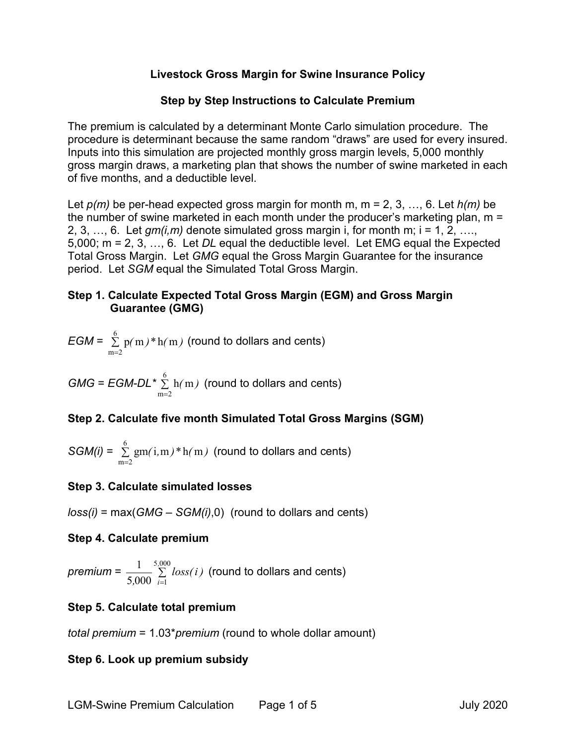## **Livestock Gross Margin for Swine Insurance Policy**

## **Step by Step Instructions to Calculate Premium**

The premium is calculated by a determinant Monte Carlo simulation procedure. The procedure is determinant because the same random "draws" are used for every insured. Inputs into this simulation are projected monthly gross margin levels, 5,000 monthly gross margin draws, a marketing plan that shows the number of swine marketed in each of five months, and a deductible level.

Let *p(m)* be per-head expected gross margin for month m, m = 2, 3, …, 6. Let *h(m)* be the number of swine marketed in each month under the producer's marketing plan, m = 2, 3, …, 6. Let  $qm(i,m)$  denote simulated gross margin i, for month m;  $i = 1, 2, \ldots$ 5,000; m = 2, 3, …, 6. Let *DL* equal the deductible level. Let EMG equal the Expected Total Gross Margin. Let *GMG* equal the Gross Margin Guarantee for the insurance period. Let *SGM* equal the Simulated Total Gross Margin.

## **Step 1. Calculate Expected Total Gross Margin (EGM) and Gross Margin Guarantee (GMG)**

$$
EGM = \sum_{m=2}^{6} p(m)*h(m) \text{ (round to dollars and cents)}
$$

 $GMG = EGM-DL^* \sum_{n=1}^{6}$  $m = 2$ h m*( )* =  $\sum\, \rm h(\,m\,)\,$  (round to dollars and cents)

# **Step 2. Calculate five month Simulated Total Gross Margins (SGM)**

$$
SGM(i) = \sum_{m=2}^{6} gm(i, m) * h(m)
$$
 (round to dollars and cents)

## **Step 3. Calculate simulated losses**

*loss(i)* = max(*GMG* – *SGM(i)*,0) (round to dollars and cents)

## **Step 4. Calculate premium**

 $p$ *remium* =  $\frac{1}{5,000}$  ∑ = 5 000 5,000  $\sum_{i=1}$ 1 *,*  $\frac{1}{\sqrt{0.000}}$   $\sum\limits_{i=1}^{1}$  *loss(i)* (round to dollars and cents)

# **Step 5. Calculate total premium**

*total premium* = 1.03\**premium* (round to whole dollar amount)

# **Step 6. Look up premium subsidy**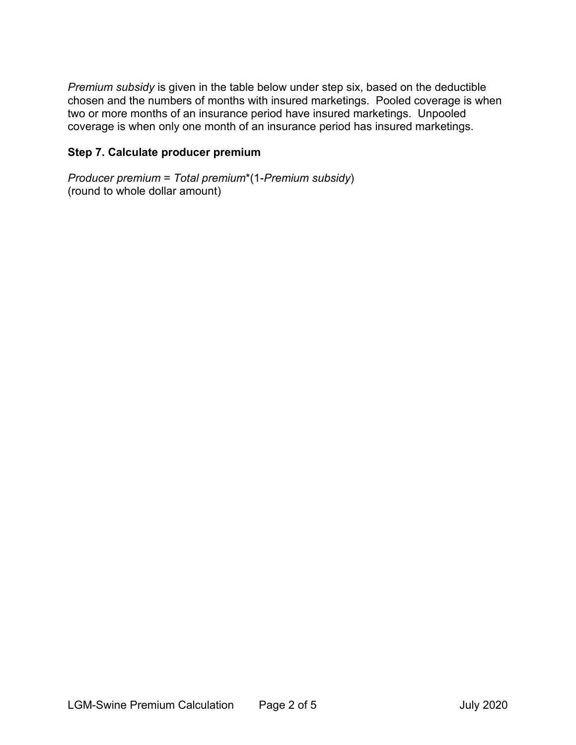*Premium subsidy* is given in the table below under step six, based on the deductible chosen and the numbers of months with insured marketings. Pooled coverage is when two or more months of an insurance period have insured marketings. Unpooled coverage is when only one month of an insurance period has insured marketings.

## **Step 7. Calculate producer premium**

*Producer premium* = *Total premium*\*(1-*Premium subsidy*) (round to whole dollar amount)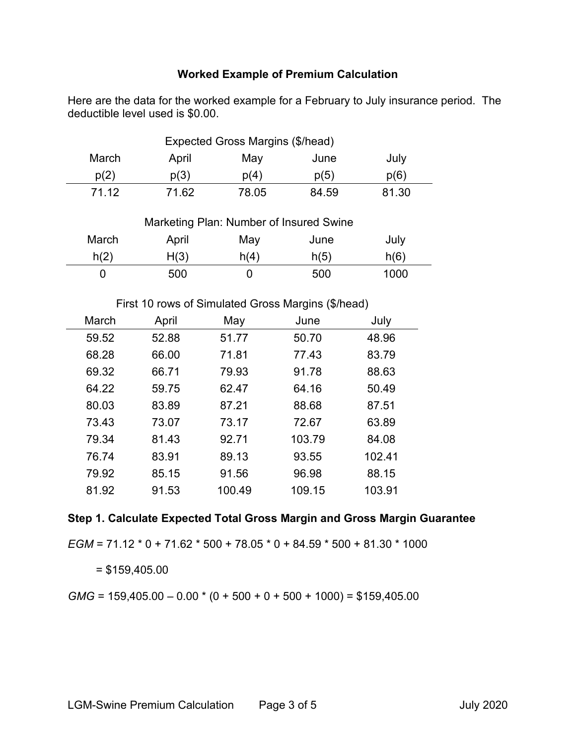#### **Worked Example of Premium Calculation**

Here are the data for the worked example for a February to July insurance period. The deductible level used is \$0.00.

| Expected Gross Margins (\$/head) |       |       |       |       |
|----------------------------------|-------|-------|-------|-------|
| March                            | April | May   | June  | July  |
| p(2)                             | p(3)  | p(4)  | p(5)  | p(6)  |
| 71.12                            | 71.62 | 78.05 | 84.59 | 81.30 |

| Marketing Plan: Number of Insured Swine |       |      |      |      |
|-----------------------------------------|-------|------|------|------|
| March                                   | April | May  | June | July |
| h(2)                                    | H(3)  | h(4) | h(5) | h(6) |
|                                         | 500   |      | 500  | 1000 |

First 10 rows of Simulated Gross Margins (\$/head)

| March | April | May    | June   | July   |
|-------|-------|--------|--------|--------|
| 59.52 | 52.88 | 51.77  | 50.70  | 48.96  |
| 68.28 | 66.00 | 71.81  | 77.43  | 83.79  |
| 69.32 | 66.71 | 79.93  | 91.78  | 88.63  |
| 64.22 | 59.75 | 62.47  | 64.16  | 50.49  |
| 80.03 | 83.89 | 87.21  | 88.68  | 87.51  |
| 73.43 | 73.07 | 73.17  | 72.67  | 63.89  |
| 79.34 | 81.43 | 92.71  | 103.79 | 84.08  |
| 76.74 | 83.91 | 89.13  | 93.55  | 102.41 |
| 79.92 | 85.15 | 91.56  | 96.98  | 88.15  |
| 81.92 | 91.53 | 100.49 | 109.15 | 103.91 |

## **Step 1. Calculate Expected Total Gross Margin and Gross Margin Guarantee**

*EGM* = 71.12 \* 0 + 71.62 \* 500 + 78.05 \* 0 + 84.59 \* 500 + 81.30 \* 1000

 $= $159,405.00$ 

 $GMG = 159,405.00 - 0.00 * (0 + 500 + 0 + 500 + 1000) = $159,405.00$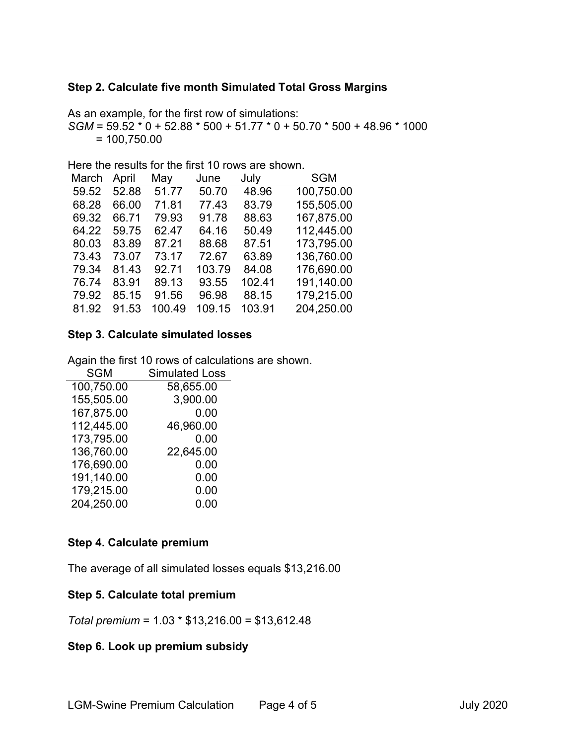## **Step 2. Calculate five month Simulated Total Gross Margins**

As an example, for the first row of simulations: *SGM* = 59.52 \* 0 + 52.88 \* 500 + 51.77 \* 0 + 50.70 \* 500 + 48.96 \* 1000  $= 100,750.00$ 

Here the results for the first 10 rows are shown.

| March | April | May    | June   | July   | <b>SGM</b> |
|-------|-------|--------|--------|--------|------------|
| 59.52 | 52.88 | 51.77  | 50.70  | 48.96  | 100,750.00 |
| 68.28 | 66.00 | 71.81  | 77.43  | 83.79  | 155,505.00 |
| 69.32 | 66.71 | 79.93  | 91.78  | 88.63  | 167,875.00 |
| 64.22 | 59.75 | 62.47  | 64.16  | 50.49  | 112,445.00 |
| 80.03 | 83.89 | 87.21  | 88.68  | 87.51  | 173,795.00 |
| 73.43 | 73.07 | 73.17  | 72.67  | 63.89  | 136,760.00 |
| 79.34 | 81.43 | 92.71  | 103.79 | 84.08  | 176,690.00 |
| 76.74 | 83.91 | 89.13  | 93.55  | 102.41 | 191,140.00 |
| 79.92 | 85.15 | 91.56  | 96.98  | 88.15  | 179,215.00 |
| 81.92 | 91.53 | 100.49 | 109.15 | 103.91 | 204,250.00 |
|       |       |        |        |        |            |

#### **Step 3. Calculate simulated losses**

Again the first 10 rows of calculations are shown.

| <b>SGM</b> | <b>Simulated Loss</b> |
|------------|-----------------------|
| 100,750.00 | 58,655.00             |
| 155,505.00 | 3,900.00              |
| 167,875.00 | 0.00                  |
| 112,445.00 | 46,960.00             |
| 173,795.00 | 0.00                  |
| 136,760.00 | 22,645.00             |
| 176,690.00 | 0.00                  |
| 191,140.00 | 0.00                  |
| 179,215.00 | 0.00                  |
| 204,250.00 | 0.00                  |

## **Step 4. Calculate premium**

The average of all simulated losses equals \$13,216.00

#### **Step 5. Calculate total premium**

*Total premium* = 1.03 \* \$13,216.00 = \$13,612.48

## **Step 6. Look up premium subsidy**